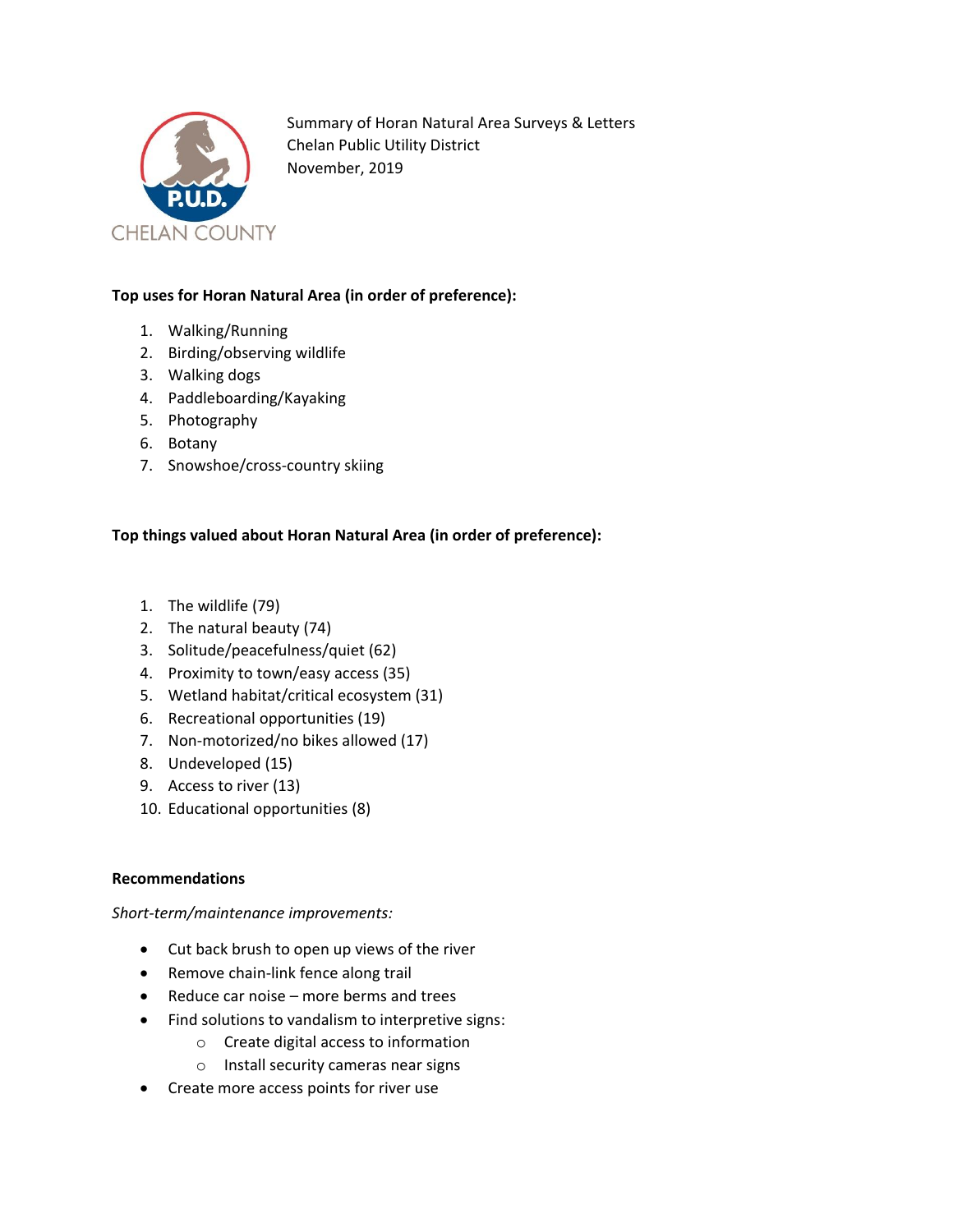

Summary of Horan Natural Area Surveys & Letters Chelan Public Utility District November, 2019

# **Top uses for Horan Natural Area (in order of preference):**

- 1. Walking/Running
- 2. Birding/observing wildlife
- 3. Walking dogs
- 4. Paddleboarding/Kayaking
- 5. Photography
- 6. Botany
- 7. Snowshoe/cross-country skiing

### **Top things valued about Horan Natural Area (in order of preference):**

- 1. The wildlife (79)
- 2. The natural beauty (74)
- 3. Solitude/peacefulness/quiet (62)
- 4. Proximity to town/easy access (35)
- 5. Wetland habitat/critical ecosystem (31)
- 6. Recreational opportunities (19)
- 7. Non-motorized/no bikes allowed (17)
- 8. Undeveloped (15)
- 9. Access to river (13)
- 10. Educational opportunities (8)

#### **Recommendations**

*Short-term/maintenance improvements:*

- Cut back brush to open up views of the river
- Remove chain-link fence along trail
- Reduce car noise more berms and trees
- Find solutions to vandalism to interpretive signs:
	- o Create digital access to information
	- o Install security cameras near signs
- Create more access points for river use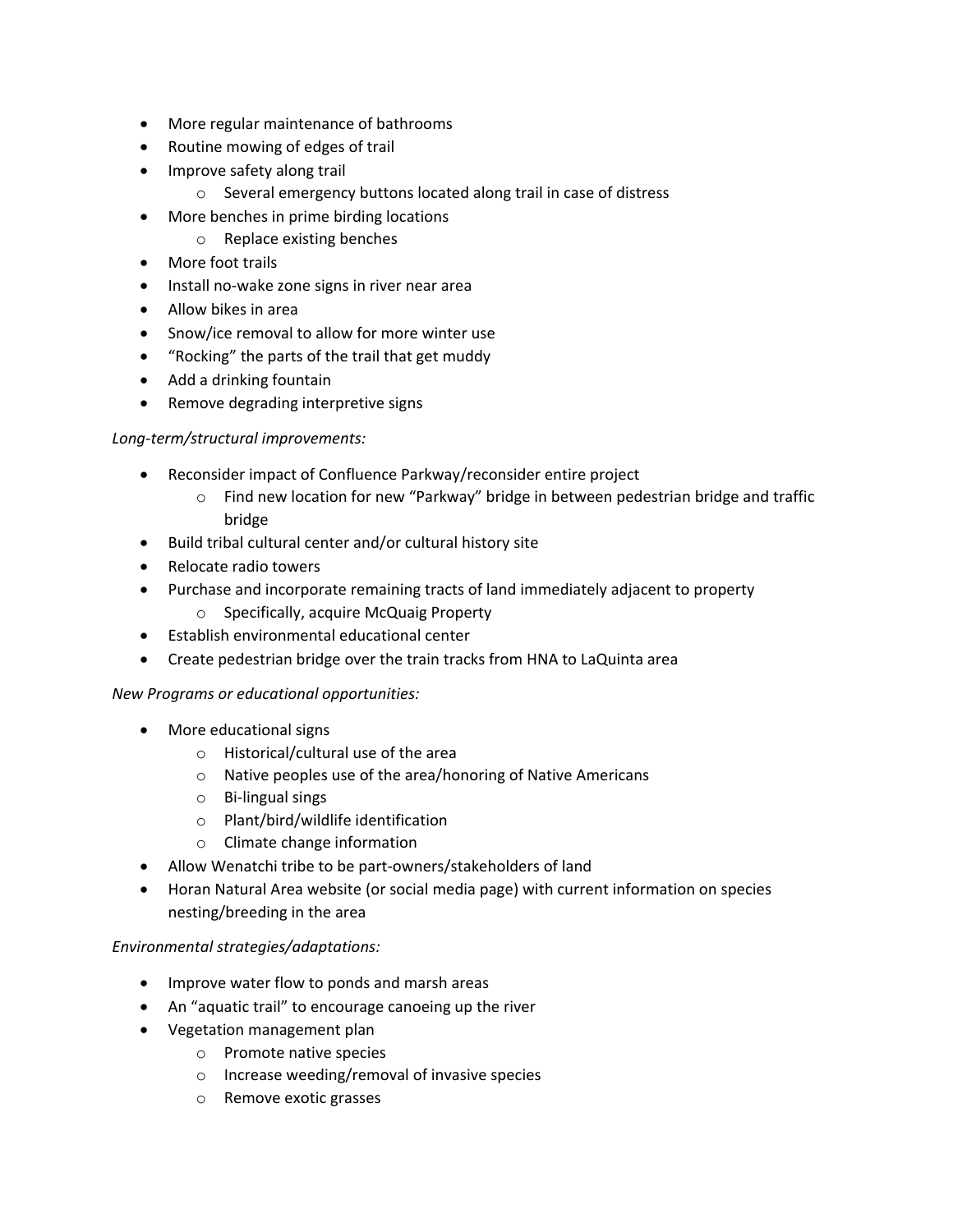- More regular maintenance of bathrooms
- Routine mowing of edges of trail
- Improve safety along trail
	- o Several emergency buttons located along trail in case of distress
- More benches in prime birding locations
	- o Replace existing benches
- More foot trails
- Install no-wake zone signs in river near area
- Allow bikes in area
- Snow/ice removal to allow for more winter use
- "Rocking" the parts of the trail that get muddy
- Add a drinking fountain
- Remove degrading interpretive signs

#### *Long-term/structural improvements:*

- Reconsider impact of Confluence Parkway/reconsider entire project
	- $\circ$  Find new location for new "Parkway" bridge in between pedestrian bridge and traffic bridge
- Build tribal cultural center and/or cultural history site
- Relocate radio towers
- Purchase and incorporate remaining tracts of land immediately adjacent to property
	- o Specifically, acquire McQuaig Property
- Establish environmental educational center
- Create pedestrian bridge over the train tracks from HNA to LaQuinta area

#### *New Programs or educational opportunities:*

- More educational signs
	- o Historical/cultural use of the area
	- o Native peoples use of the area/honoring of Native Americans
	- o Bi-lingual sings
	- o Plant/bird/wildlife identification
	- o Climate change information
- Allow Wenatchi tribe to be part-owners/stakeholders of land
- Horan Natural Area website (or social media page) with current information on species nesting/breeding in the area

#### *Environmental strategies/adaptations:*

- Improve water flow to ponds and marsh areas
- An "aquatic trail" to encourage canoeing up the river
- Vegetation management plan
	- o Promote native species
	- o Increase weeding/removal of invasive species
	- o Remove exotic grasses